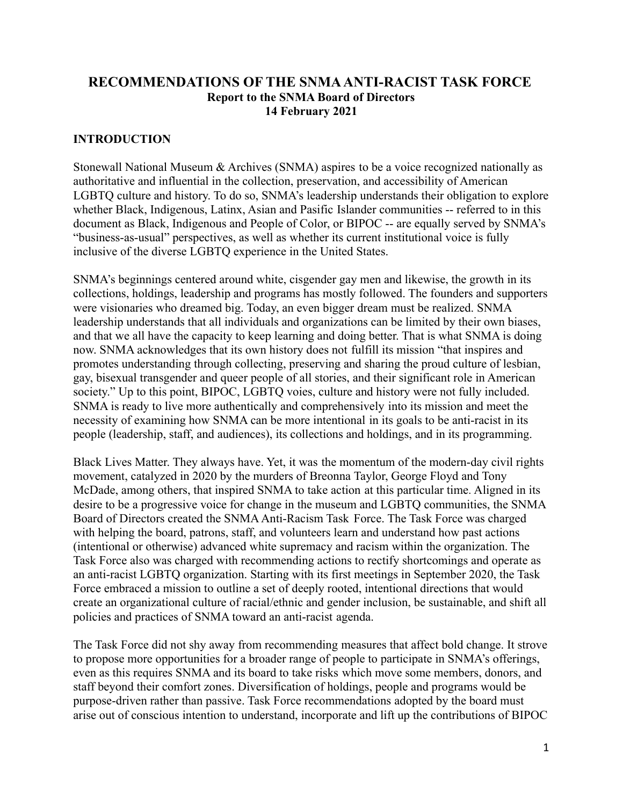### **RECOMMENDATIONS OF THE SNMAANTI-RACIST TASK FORCE Report to the SNMA Board of Directors 14 February 2021**

#### **INTRODUCTION**

Stonewall National Museum & Archives (SNMA) aspires to be a voice recognized nationally as authoritative and influential in the collection, preservation, and accessibility of American LGBTQ culture and history. To do so, SNMA's leadership understands their obligation to explore whether Black, Indigenous, Latinx, Asian and Pasific Islander communities -- referred to in this document as Black, Indigenous and People of Color, or BIPOC -- are equally served by SNMA's "business-as-usual" perspectives, as well as whether its current institutional voice is fully inclusive of the diverse LGBTQ experience in the United States.

SNMA's beginnings centered around white, cisgender gay men and likewise, the growth in its collections, holdings, leadership and programs has mostly followed. The founders and supporters were visionaries who dreamed big. Today, an even bigger dream must be realized. SNMA leadership understands that all individuals and organizations can be limited by their own biases, and that we all have the capacity to keep learning and doing better. That is what SNMA is doing now. SNMA acknowledges that its own history does not fulfill its mission "that inspires and promotes understanding through collecting, preserving and sharing the proud culture of lesbian, gay, bisexual transgender and queer people of all stories, and their significant role in American society." Up to this point, BIPOC, LGBTQ voies, culture and history were not fully included. SNMA is ready to live more authentically and comprehensively into its mission and meet the necessity of examining how SNMA can be more intentional in its goals to be anti-racist in its people (leadership, staff, and audiences), its collections and holdings, and in its programming.

Black Lives Matter. They always have. Yet, it was the momentum of the modern-day civil rights movement, catalyzed in 2020 by the murders of Breonna Taylor, George Floyd and Tony McDade, among others, that inspired SNMA to take action at this particular time. Aligned in its desire to be a progressive voice for change in the museum and LGBTQ communities, the SNMA Board of Directors created the SNMA Anti-Racism Task Force. The Task Force was charged with helping the board, patrons, staff, and volunteers learn and understand how past actions (intentional or otherwise) advanced white supremacy and racism within the organization. The Task Force also was charged with recommending actions to rectify shortcomings and operate as an anti-racist LGBTQ organization. Starting with its first meetings in September 2020, the Task Force embraced a mission to outline a set of deeply rooted, intentional directions that would create an organizational culture of racial/ethnic and gender inclusion, be sustainable, and shift all policies and practices of SNMA toward an anti-racist agenda.

The Task Force did not shy away from recommending measures that affect bold change. It strove to propose more opportunities for a broader range of people to participate in SNMA's offerings, even as this requires SNMA and its board to take risks which move some members, donors, and staff beyond their comfort zones. Diversification of holdings, people and programs would be purpose-driven rather than passive. Task Force recommendations adopted by the board must arise out of conscious intention to understand, incorporate and lift up the contributions of BIPOC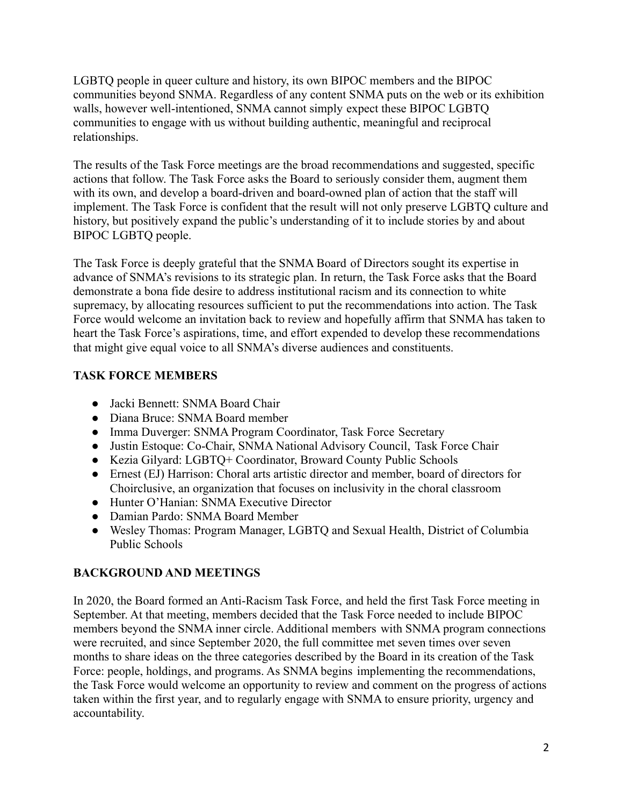LGBTQ people in queer culture and history, its own BIPOC members and the BIPOC communities beyond SNMA. Regardless of any content SNMA puts on the web or its exhibition walls, however well-intentioned, SNMA cannot simply expect these BIPOC LGBTQ communities to engage with us without building authentic, meaningful and reciprocal relationships.

The results of the Task Force meetings are the broad recommendations and suggested, specific actions that follow. The Task Force asks the Board to seriously consider them, augment them with its own, and develop a board-driven and board-owned plan of action that the staff will implement. The Task Force is confident that the result will not only preserve LGBTQ culture and history, but positively expand the public's understanding of it to include stories by and about BIPOC LGBTQ people.

The Task Force is deeply grateful that the SNMA Board of Directors sought its expertise in advance of SNMA's revisions to its strategic plan. In return, the Task Force asks that the Board demonstrate a bona fide desire to address institutional racism and its connection to white supremacy, by allocating resources sufficient to put the recommendations into action. The Task Force would welcome an invitation back to review and hopefully affirm that SNMA has taken to heart the Task Force's aspirations, time, and effort expended to develop these recommendations that might give equal voice to all SNMA's diverse audiences and constituents.

# **TASK FORCE MEMBERS**

- Jacki Bennett: SNMA Board Chair
- Diana Bruce: SNMA Board member
- Imma Duverger: SNMA Program Coordinator, Task Force Secretary
- Justin Estoque: Co-Chair, SNMA National Advisory Council, Task Force Chair
- Kezia Gilyard: LGBTQ+ Coordinator, Broward County Public Schools
- Ernest (EJ) Harrison: Choral arts artistic director and member, board of directors for Choirclusive, an organization that focuses on inclusivity in the choral classroom
- Hunter O'Hanian: SNMA Executive Director
- Damian Pardo: SNMA Board Member
- Wesley Thomas: Program Manager, LGBTQ and Sexual Health, District of Columbia Public Schools

# **BACKGROUND AND MEETINGS**

In 2020, the Board formed an Anti-Racism Task Force, and held the first Task Force meeting in September. At that meeting, members decided that the Task Force needed to include BIPOC members beyond the SNMA inner circle. Additional members with SNMA program connections were recruited, and since September 2020, the full committee met seven times over seven months to share ideas on the three categories described by the Board in its creation of the Task Force: people, holdings, and programs. As SNMA begins implementing the recommendations, the Task Force would welcome an opportunity to review and comment on the progress of actions taken within the first year, and to regularly engage with SNMA to ensure priority, urgency and accountability.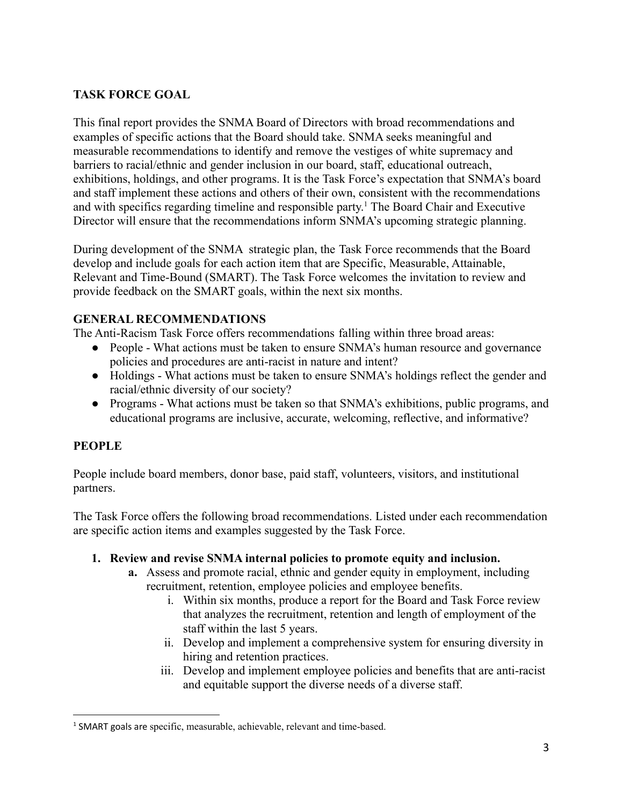### **TASK FORCE GOAL**

This final report provides the SNMA Board of Directors with broad recommendations and examples of specific actions that the Board should take. SNMA seeks meaningful and measurable recommendations to identify and remove the vestiges of white supremacy and barriers to racial/ethnic and gender inclusion in our board, staff, educational outreach, exhibitions, holdings, and other programs. It is the Task Force's expectation that SNMA's board and staff implement these actions and others of their own, consistent with the recommendations and with specifics regarding timeline and responsible party. <sup>1</sup> The Board Chair and Executive Director will ensure that the recommendations inform SNMA's upcoming strategic planning.

During development of the SNMA strategic plan, the Task Force recommends that the Board develop and include goals for each action item that are Specific, Measurable, Attainable, Relevant and Time-Bound (SMART). The Task Force welcomes the invitation to review and provide feedback on the SMART goals, within the next six months.

### **GENERAL RECOMMENDATIONS**

The Anti-Racism Task Force offers recommendations falling within three broad areas:

- People What actions must be taken to ensure SNMA's human resource and governance policies and procedures are anti-racist in nature and intent?
- Holdings What actions must be taken to ensure SNMA's holdings reflect the gender and racial/ethnic diversity of our society?
- Programs What actions must be taken so that SNMA's exhibitions, public programs, and educational programs are inclusive, accurate, welcoming, reflective, and informative?

### **PEOPLE**

People include board members, donor base, paid staff, volunteers, visitors, and institutional partners.

The Task Force offers the following broad recommendations. Listed under each recommendation are specific action items and examples suggested by the Task Force.

#### **1. Review and revise SNMA internal policies to promote equity and inclusion.**

- **a.** Assess and promote racial, ethnic and gender equity in employment, including recruitment, retention, employee policies and employee benefits.
	- i. Within six months, produce a report for the Board and Task Force review that analyzes the recruitment, retention and length of employment of the staff within the last 5 years.
	- ii. Develop and implement a comprehensive system for ensuring diversity in hiring and retention practices.
	- iii. Develop and implement employee policies and benefits that are anti-racist and equitable support the diverse needs of a diverse staff.

<sup>&</sup>lt;sup>1</sup> SMART goals are specific, measurable, achievable, relevant and time-based.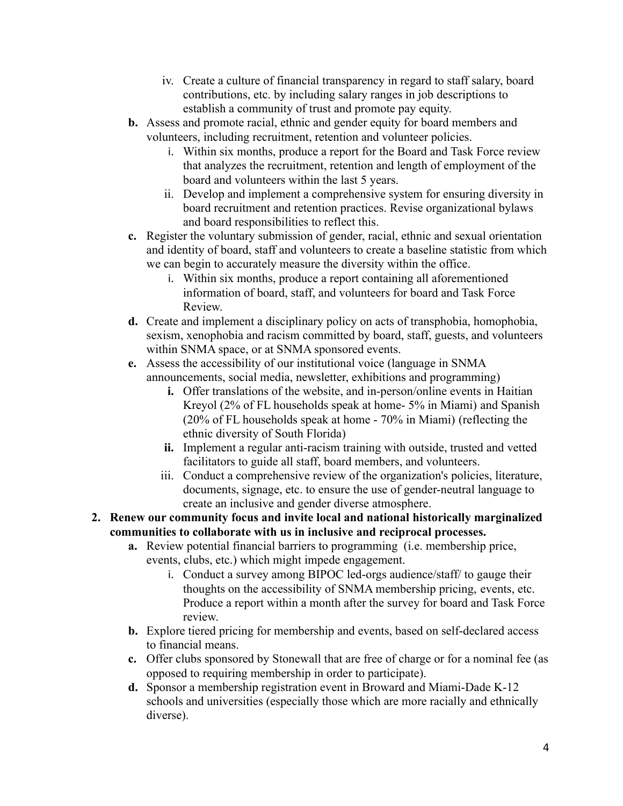- iv. Create a culture of financial transparency in regard to staff salary, board contributions, etc. by including salary ranges in job descriptions to establish a community of trust and promote pay equity.
- **b.** Assess and promote racial, ethnic and gender equity for board members and volunteers, including recruitment, retention and volunteer policies.
	- i. Within six months, produce a report for the Board and Task Force review that analyzes the recruitment, retention and length of employment of the board and volunteers within the last 5 years.
	- ii. Develop and implement a comprehensive system for ensuring diversity in board recruitment and retention practices. Revise organizational bylaws and board responsibilities to reflect this.
- **c.** Register the voluntary submission of gender, racial, ethnic and sexual orientation and identity of board, staff and volunteers to create a baseline statistic from which we can begin to accurately measure the diversity within the office.
	- i. Within six months, produce a report containing all aforementioned information of board, staff, and volunteers for board and Task Force Review.
- **d.** Create and implement a disciplinary policy on acts of transphobia, homophobia, sexism, xenophobia and racism committed by board, staff, guests, and volunteers within SNMA space, or at SNMA sponsored events.
- **e.** Assess the accessibility of our institutional voice (language in SNMA announcements, social media, newsletter, exhibitions and programming)
	- **i.** Offer translations of the website, and in-person/online events in Haitian Kreyol (2% of FL households speak at home- 5% in Miami) and Spanish (20% of FL households speak at home - 70% in Miami) (reflecting the ethnic diversity of South Florida)
	- **ii.** Implement a regular anti-racism training with outside, trusted and vetted facilitators to guide all staff, board members, and volunteers.
	- iii. Conduct a comprehensive review of the organization's policies, literature, documents, signage, etc. to ensure the use of gender-neutral language to create an inclusive and gender diverse atmosphere.

#### **2. Renew our community focus and invite local and national historically marginalized communities to collaborate with us in inclusive and reciprocal processes.**

- **a.** Review potential financial barriers to programming (i.e. membership price, events, clubs, etc.) which might impede engagement.
	- i. Conduct a survey among BIPOC led-orgs audience/staff/ to gauge their thoughts on the accessibility of SNMA membership pricing, events, etc. Produce a report within a month after the survey for board and Task Force review.
- **b.** Explore tiered pricing for membership and events, based on self-declared access to financial means.
- **c.** Offer clubs sponsored by Stonewall that are free of charge or for a nominal fee (as opposed to requiring membership in order to participate).
- **d.** Sponsor a membership registration event in Broward and Miami-Dade K-12 schools and universities (especially those which are more racially and ethnically diverse).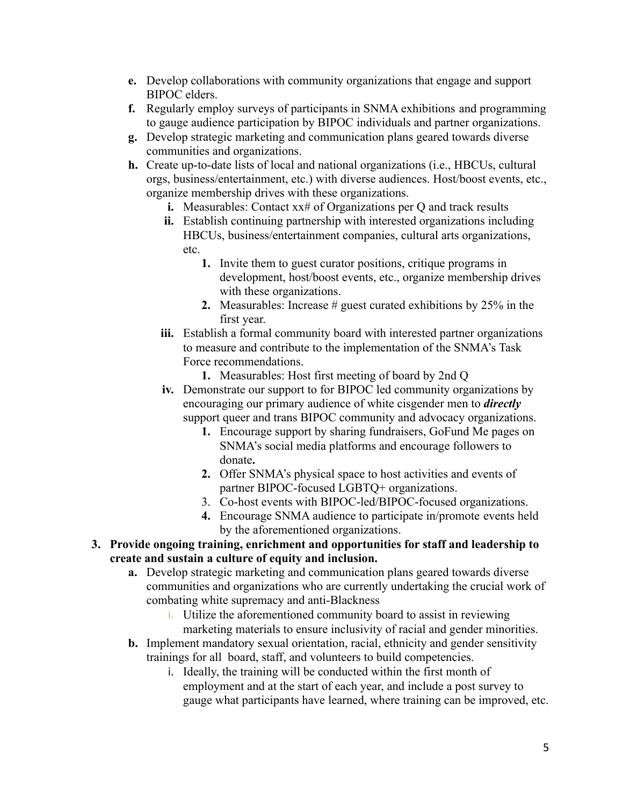- **e.** Develop collaborations with community organizations that engage and support BIPOC elders.
- **f.** Regularly employ surveys of participants in SNMA exhibitions and programming to gauge audience participation by BIPOC individuals and partner organizations.
- **g.** Develop strategic marketing and communication plans geared towards diverse communities and organizations.
- **h.** Create up-to-date lists of local and national organizations (i.e., HBCUs, cultural orgs, business/entertainment, etc.) with diverse audiences. Host/boost events, etc., organize membership drives with these organizations.
	- **i.** Measurables: Contact xx# of Organizations per Q and track results
	- **ii.** Establish continuing partnership with interested organizations including HBCUs, business/entertainment companies, cultural arts organizations, etc.
		- **1.** Invite them to guest curator positions, critique programs in development, host/boost events, etc., organize membership drives with these organizations.
		- **2.** Measurables: Increase # guest curated exhibitions by 25% in the first year.
	- **iii.** Establish a formal community board with interested partner organizations to measure and contribute to the implementation of the SNMA's Task Force recommendations.
		- **1.** Measurables: Host first meeting of board by 2nd Q
	- **iv.** Demonstrate our support to for BIPOC led community organizations by encouraging our primary audience of white cisgender men to *directly* support queer and trans BIPOC community and advocacy organizations.
		- **1.** Encourage support by sharing fundraisers, GoFund Me pages on SNMA's social media platforms and encourage followers to donate**.**
		- **2.** Offer SNMA's physical space to host activities and events of partner BIPOC-focused LGBTQ+ organizations.
		- 3. Co-host events with BIPOC-led/BIPOC-focused organizations.
		- **4.** Encourage SNMA audience to participate in/promote events held by the aforementioned organizations.
- **3. Provide ongoing training, enrichment and opportunities for staff and leadership to create and sustain a culture of equity and inclusion.**
	- **a.** Develop strategic marketing and communication plans geared towards diverse communities and organizations who are currently undertaking the crucial work of combating white supremacy and anti-Blackness
		- i. Utilize the aforementioned community board to assist in reviewing marketing materials to ensure inclusivity of racial and gender minorities.
	- **b.** Implement mandatory sexual orientation, racial, ethnicity and gender sensitivity trainings for all board, staff, and volunteers to build competencies.
		- i. Ideally, the training will be conducted within the first month of employment and at the start of each year, and include a post survey to gauge what participants have learned, where training can be improved, etc.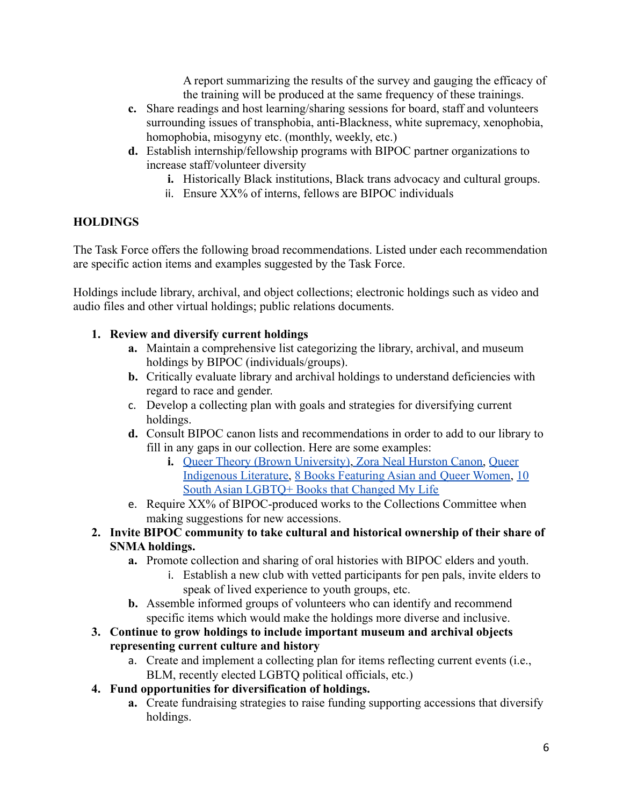A report summarizing the results of the survey and gauging the efficacy of the training will be produced at the same frequency of these trainings.

- **c.** Share readings and host learning/sharing sessions for board, staff and volunteers surrounding issues of transphobia, anti-Blackness, white supremacy, xenophobia, homophobia, misogyny etc. (monthly, weekly, etc.)
- **d.** Establish internship/fellowship programs with BIPOC partner organizations to increase staff/volunteer diversity
	- **i.** Historically Black institutions, Black trans advocacy and cultural groups.
	- ii. Ensure XX% of interns, fellows are BIPOC individuals

#### **HOLDINGS**

The Task Force offers the following broad recommendations. Listed under each recommendation are specific action items and examples suggested by the Task Force.

Holdings include library, archival, and object collections; electronic holdings such as video and audio files and other virtual holdings; public relations documents.

#### **1. Review and diversify current holdings**

- **a.** Maintain a comprehensive list categorizing the library, archival, and museum holdings by BIPOC (individuals/groups).
- **b.** Critically evaluate library and archival holdings to understand deficiencies with regard to race and gender.
- c. Develop a collecting plan with goals and strategies for diversifying current holdings.
- **d.** Consult BIPOC canon lists and recommendations in order to add to our library to fill in any gaps in our collection. Here are some examples:
	- **i.** [Queer Theory \(Brown University\)](https://www.brown.edu/campus-life/support/lgbtq/graduate-student-resources/queer-theory-reading-list), [Zora Neal Hurston](https://zora.medium.com/100-best-books-by-black-women-authors-zora-canon-46b3492bdded) Canon, [Queer](https://www.goodreads.com/list/show/104172.Queer_Indigenous_Literature) [Indigenous Literature,](https://www.goodreads.com/list/show/104172.Queer_Indigenous_Literature) [8 Books Featuring Asian and](https://www.autostraddle.com/books-asian-and-pacific-islander-queer-women-374872/) Queer Women, [10](https://www.autostraddle.com/10-south-asian-lgbtq-books-that-are-about-more-than-coming-out-393164/) [South Asian LGBTQ+ Books that Changed My Life](https://www.autostraddle.com/10-south-asian-lgbtq-books-that-are-about-more-than-coming-out-393164/)
- e. Require XX% of BIPOC-produced works to the Collections Committee when making suggestions for new accessions.

#### **2. Invite BIPOC community to take cultural and historical ownership of their share of SNMA holdings.**

- **a.** Promote collection and sharing of oral histories with BIPOC elders and youth.
	- i. Establish a new club with vetted participants for pen pals, invite elders to speak of lived experience to youth groups, etc.
- **b.** Assemble informed groups of volunteers who can identify and recommend specific items which would make the holdings more diverse and inclusive.
- **3. Continue to grow holdings to include important museum and archival objects representing current culture and history**
	- a. Create and implement a collecting plan for items reflecting current events (i.e., BLM, recently elected LGBTQ political officials, etc.)
- **4. Fund opportunities for diversification of holdings.**
	- **a.** Create fundraising strategies to raise funding supporting accessions that diversify holdings.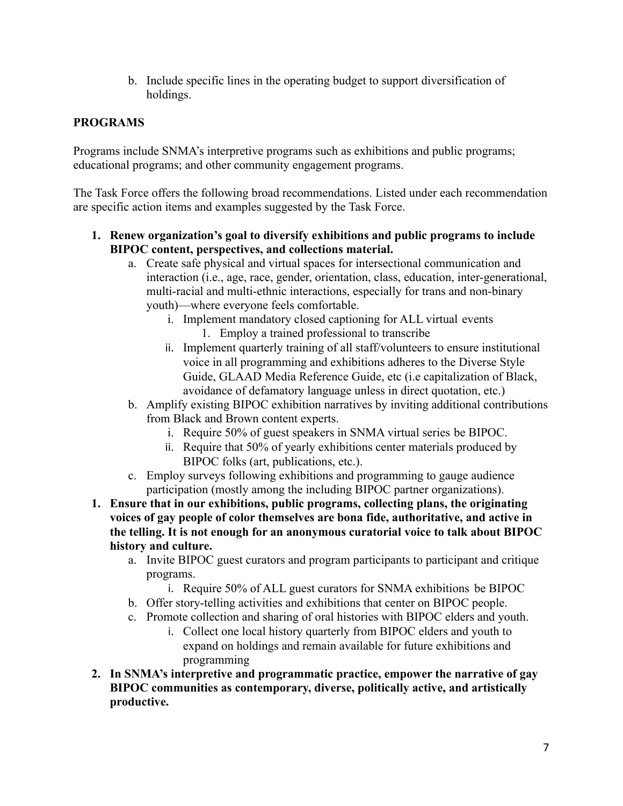b. Include specific lines in the operating budget to support diversification of holdings.

### **PROGRAMS**

Programs include SNMA's interpretive programs such as exhibitions and public programs; educational programs; and other community engagement programs.

The Task Force offers the following broad recommendations. Listed under each recommendation are specific action items and examples suggested by the Task Force.

- **1. Renew organization's goal to diversify exhibitions and public programs to include BIPOC content, perspectives, and collections material.**
	- a. Create safe physical and virtual spaces for intersectional communication and interaction (i.e., age, race, gender, orientation, class, education, inter-generational, multi-racial and multi-ethnic interactions, especially for trans and non-binary youth)—where everyone feels comfortable.
		- i. Implement mandatory closed captioning for ALL virtual events 1. Employ a trained professional to transcribe
		- ii. Implement quarterly training of all staff/volunteers to ensure institutional voice in all programming and exhibitions adheres to the [Diverse Style](https://www2.calstate.edu/csu-system/csu-branding-standards/editorial-style-guide/Pages/diversity-style-guide.aspx) [Guide,](https://www2.calstate.edu/csu-system/csu-branding-standards/editorial-style-guide/Pages/diversity-style-guide.aspx) [GLAAD Media Reference Guide,](https://www.glaad.org/reference/lgbtq) etc (i.e capitalization of Black, avoidance of defamatory language unless in direct quotation, etc.)
	- b. Amplify existing BIPOC exhibition narratives by inviting additional contributions from Black and Brown content experts.
		- i. Require 50% of guest speakers in SNMA virtual series be BIPOC.
		- ii. Require that 50% of yearly exhibitions center materials produced by BIPOC folks (art, publications, etc.).
	- c. Employ surveys following exhibitions and programming to gauge audience participation (mostly among the including BIPOC partner organizations).
- **1. Ensure that in our exhibitions, public programs, collecting plans, the originating voices of gay people of color themselves are bona fide, authoritative, and active in the telling. It is not enough for an anonymous curatorial voice to talk about BIPOC history and culture.**
	- a. Invite BIPOC guest curators and program participants to participant and critique programs.
		- i. Require 50% of ALL guest curators for SNMA exhibitions be BIPOC
	- b. Offer story-telling activities and exhibitions that center on BIPOC people.
	- c. Promote collection and sharing of oral histories with BIPOC elders and youth.
		- i. Collect one local history quarterly from BIPOC elders and youth to expand on holdings and remain available for future exhibitions and programming
- **2. In SNMA's interpretive and programmatic practice, empower the narrative of gay BIPOC communities as contemporary, diverse, politically active, and artistically productive.**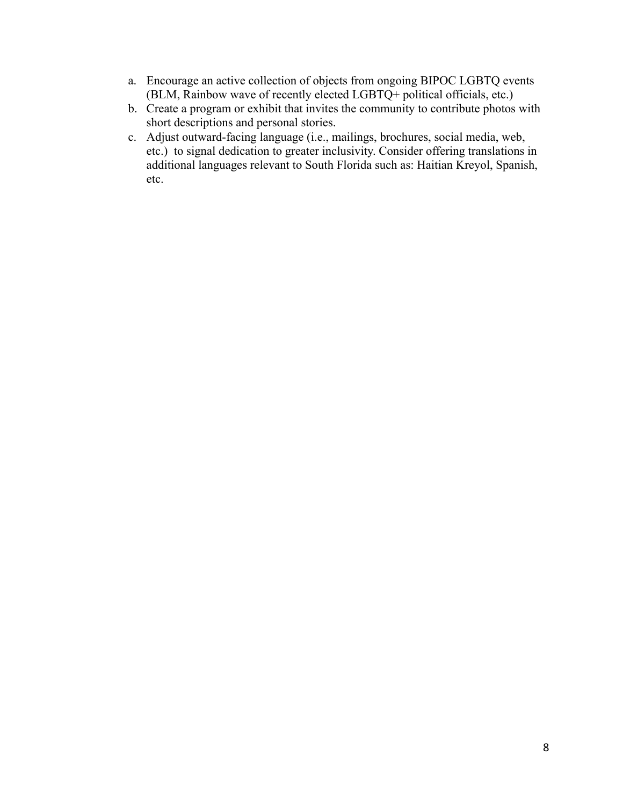- a. Encourage an active collection of objects from ongoing BIPOC LGBTQ events (BLM, Rainbow wave of recently elected LGBTQ+ political officials, etc.)
- b. Create a program or exhibit that invites the community to contribute photos with short descriptions and personal stories.
- c. Adjust outward-facing language (i.e., mailings, brochures, social media, web, etc.) to signal dedication to greater inclusivity. Consider offering translations in additional languages relevant to South Florida such as: Haitian Kreyol, Spanish, etc.